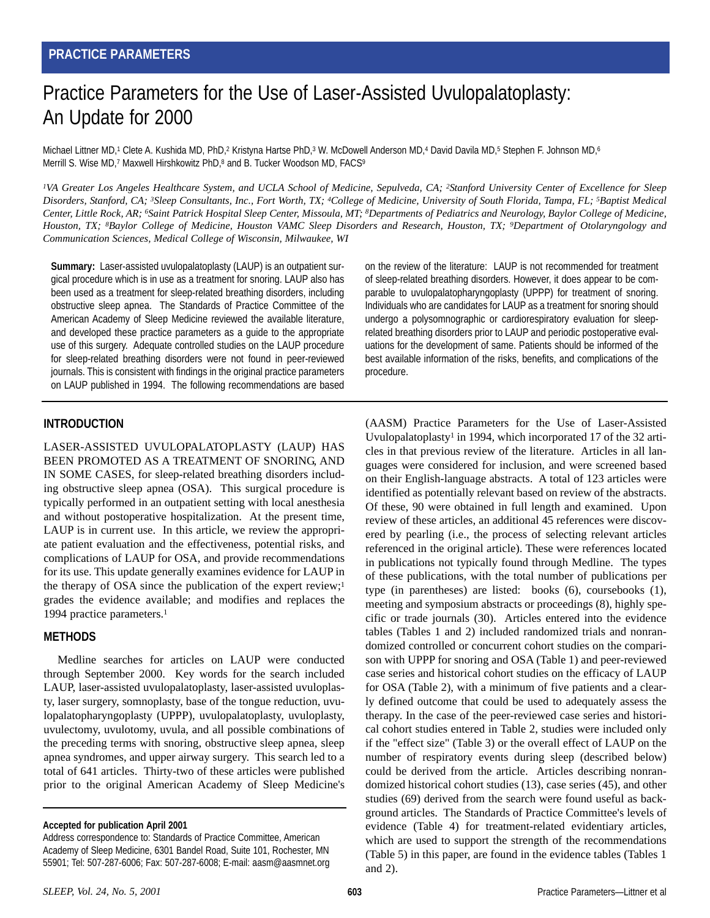# Practice Parameters for the Use of Laser-Assisted Uvulopalatoplasty: An Update for 2000

Michael Littner MD,<sup>1</sup> Clete A. Kushida MD, PhD,<sup>2</sup> Kristyna Hartse PhD,<sup>3</sup> W. McDowell Anderson MD,<sup>4</sup> David Davila MD,<sup>5</sup> Stephen F. Johnson MD,<sup>6</sup> Merrill S. Wise MD,<sup>7</sup> Maxwell Hirshkowitz PhD,<sup>8</sup> and B. Tucker Woodson MD, FACS<sup>9</sup>

*1VA Greater Los Angeles Healthcare System, and UCLA School of Medicine, Sepulveda, CA; 2Stanford University Center of Excellence for Sleep Disorders, Stanford, CA; 3Sleep Consultants, Inc., Fort Worth, TX; 4College of Medicine, University of South Florida, Tampa, FL; 5Baptist Medical Center, Little Rock, AR; 6Saint Patrick Hospital Sleep Center, Missoula, MT; 8Departments of Pediatrics and Neurology, Baylor College of Medicine, Houston, TX; 8Baylor College of Medicine, Houston VAMC Sleep Disorders and Research, Houston, TX; 9Department of Otolaryngology and Communication Sciences, Medical College of Wisconsin, Milwaukee, WI*

**Summary:** Laser-assisted uvulopalatoplasty (LAUP) is an outpatient surgical procedure which is in use as a treatment for snoring. LAUP also has been used as a treatment for sleep-related breathing disorders, including obstructive sleep apnea. The Standards of Practice Committee of the American Academy of Sleep Medicine reviewed the available literature, and developed these practice parameters as a guide to the appropriate use of this surgery. Adequate controlled studies on the LAUP procedure for sleep-related breathing disorders were not found in peer-reviewed journals. This is consistent with findings in the original practice parameters on LAUP published in 1994. The following recommendations are based on the review of the literature: LAUP is not recommended for treatment of sleep-related breathing disorders. However, it does appear to be comparable to uvulopalatopharyngoplasty (UPPP) for treatment of snoring. Individuals who are candidates for LAUP as a treatment for snoring should undergo a polysomnographic or cardiorespiratory evaluation for sleeprelated breathing disorders prior to LAUP and periodic postoperative evaluations for the development of same. Patients should be informed of the best available information of the risks, benefits, and complications of the procedure.

# **INTRODUCTION**

LASER-ASSISTED UVULOPALATOPLASTY (LAUP) HAS BEEN PROMOTED AS A TREATMENT OF SNORING, AND IN SOME CASES, for sleep-related breathing disorders including obstructive sleep apnea (OSA). This surgical procedure is typically performed in an outpatient setting with local anesthesia and without postoperative hospitalization. At the present time, LAUP is in current use. In this article, we review the appropriate patient evaluation and the effectiveness, potential risks, and complications of LAUP for OSA, and provide recommendations for its use. This update generally examines evidence for LAUP in the therapy of OSA since the publication of the expert review;<sup>1</sup> grades the evidence available; and modifies and replaces the 1994 practice parameters.1

# **METHODS**

Medline searches for articles on LAUP were conducted through September 2000. Key words for the search included LAUP, laser-assisted uvulopalatoplasty, laser-assisted uvuloplasty, laser surgery, somnoplasty, base of the tongue reduction, uvulopalatopharyngoplasty (UPPP), uvulopalatoplasty, uvuloplasty, uvulectomy, uvulotomy, uvula, and all possible combinations of the preceding terms with snoring, obstructive sleep apnea, sleep apnea syndromes, and upper airway surgery. This search led to a total of 641 articles. Thirty-two of these articles were published prior to the original American Academy of Sleep Medicine's

**Accepted for publication April 2001**

(AASM) Practice Parameters for the Use of Laser-Assisted Uvulopalatoplasty<sup>1</sup> in 1994, which incorporated 17 of the 32 articles in that previous review of the literature. Articles in all languages were considered for inclusion, and were screened based on their English-language abstracts. A total of 123 articles were identified as potentially relevant based on review of the abstracts. Of these, 90 were obtained in full length and examined. Upon review of these articles, an additional 45 references were discovered by pearling (i.e., the process of selecting relevant articles referenced in the original article). These were references located in publications not typically found through Medline. The types of these publications, with the total number of publications per type (in parentheses) are listed: books (6), coursebooks (1), meeting and symposium abstracts or proceedings (8), highly specific or trade journals (30). Articles entered into the evidence tables (Tables 1 and 2) included randomized trials and nonrandomized controlled or concurrent cohort studies on the comparison with UPPP for snoring and OSA (Table 1) and peer-reviewed case series and historical cohort studies on the efficacy of LAUP for OSA (Table 2), with a minimum of five patients and a clearly defined outcome that could be used to adequately assess the therapy. In the case of the peer-reviewed case series and historical cohort studies entered in Table 2, studies were included only if the "effect size" (Table 3) or the overall effect of LAUP on the number of respiratory events during sleep (described below) could be derived from the article. Articles describing nonrandomized historical cohort studies (13), case series (45), and other studies (69) derived from the search were found useful as background articles. The Standards of Practice Committee's levels of evidence (Table 4) for treatment-related evidentiary articles, which are used to support the strength of the recommendations (Table 5) in this paper, are found in the evidence tables (Tables 1 and 2).

Address correspondence to: Standards of Practice Committee, American Academy of Sleep Medicine, 6301 Bandel Road, Suite 101, Rochester, MN 55901; Tel: 507-287-6006; Fax: 507-287-6008; E-mail: aasm@aasmnet.org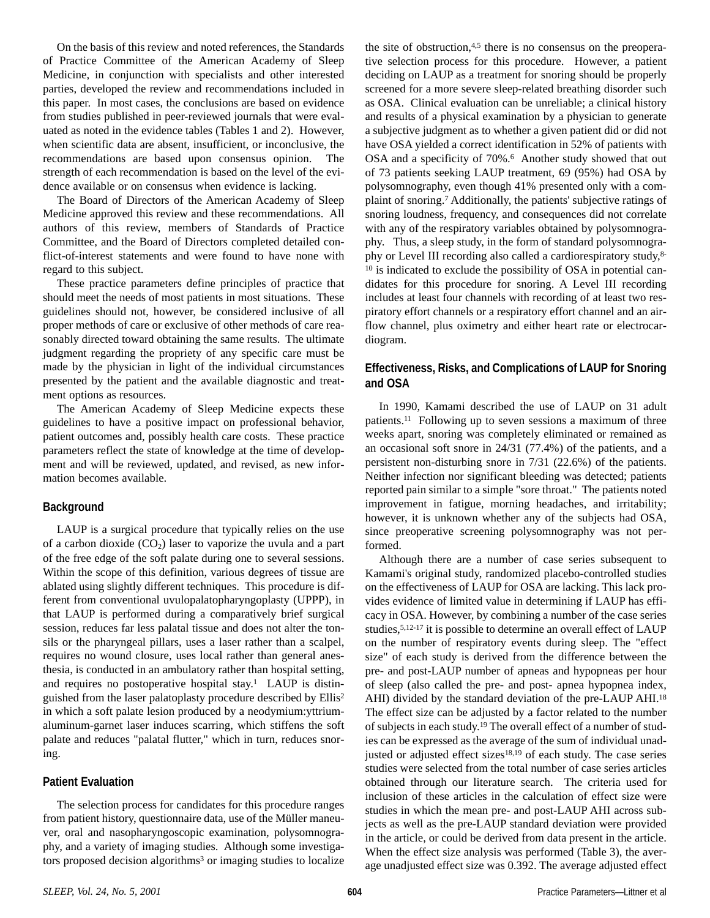On the basis of this review and noted references, the Standards of Practice Committee of the American Academy of Sleep Medicine, in conjunction with specialists and other interested parties, developed the review and recommendations included in this paper. In most cases, the conclusions are based on evidence from studies published in peer-reviewed journals that were evaluated as noted in the evidence tables (Tables 1 and 2). However, when scientific data are absent, insufficient, or inconclusive, the recommendations are based upon consensus opinion. The strength of each recommendation is based on the level of the evidence available or on consensus when evidence is lacking.

The Board of Directors of the American Academy of Sleep Medicine approved this review and these recommendations. All authors of this review, members of Standards of Practice Committee, and the Board of Directors completed detailed conflict-of-interest statements and were found to have none with regard to this subject.

These practice parameters define principles of practice that should meet the needs of most patients in most situations. These guidelines should not, however, be considered inclusive of all proper methods of care or exclusive of other methods of care reasonably directed toward obtaining the same results. The ultimate judgment regarding the propriety of any specific care must be made by the physician in light of the individual circumstances presented by the patient and the available diagnostic and treatment options as resources.

The American Academy of Sleep Medicine expects these guidelines to have a positive impact on professional behavior, patient outcomes and, possibly health care costs. These practice parameters reflect the state of knowledge at the time of development and will be reviewed, updated, and revised, as new information becomes available.

#### **Background**

LAUP is a surgical procedure that typically relies on the use of a carbon dioxide  $(CO_2)$  laser to vaporize the uvula and a part of the free edge of the soft palate during one to several sessions. Within the scope of this definition, various degrees of tissue are ablated using slightly different techniques. This procedure is different from conventional uvulopalatopharyngoplasty (UPPP), in that LAUP is performed during a comparatively brief surgical session, reduces far less palatal tissue and does not alter the tonsils or the pharyngeal pillars, uses a laser rather than a scalpel, requires no wound closure, uses local rather than general anesthesia, is conducted in an ambulatory rather than hospital setting, and requires no postoperative hospital stay.<sup>1</sup> LAUP is distinguished from the laser palatoplasty procedure described by Ellis2 in which a soft palate lesion produced by a neodymium:yttriumaluminum-garnet laser induces scarring, which stiffens the soft palate and reduces "palatal flutter," which in turn, reduces snoring.

#### **Patient Evaluation**

The selection process for candidates for this procedure ranges from patient history, questionnaire data, use of the Müller maneuver, oral and nasopharyngoscopic examination, polysomnography, and a variety of imaging studies. Although some investigators proposed decision algorithms<sup>3</sup> or imaging studies to localize the site of obstruction,<sup>4,5</sup> there is no consensus on the preoperative selection process for this procedure. However, a patient deciding on LAUP as a treatment for snoring should be properly screened for a more severe sleep-related breathing disorder such as OSA. Clinical evaluation can be unreliable; a clinical history and results of a physical examination by a physician to generate a subjective judgment as to whether a given patient did or did not have OSA yielded a correct identification in 52% of patients with OSA and a specificity of 70%.<sup>6</sup> Another study showed that out of 73 patients seeking LAUP treatment, 69 (95%) had OSA by polysomnography, even though 41% presented only with a complaint of snoring.7 Additionally, the patients' subjective ratings of snoring loudness, frequency, and consequences did not correlate with any of the respiratory variables obtained by polysomnography. Thus, a sleep study, in the form of standard polysomnography or Level III recording also called a cardiorespiratory study,8- <sup>10</sup> is indicated to exclude the possibility of OSA in potential candidates for this procedure for snoring. A Level III recording includes at least four channels with recording of at least two respiratory effort channels or a respiratory effort channel and an airflow channel, plus oximetry and either heart rate or electrocardiogram.

# **Effectiveness, Risks, and Complications of LAUP for Snoring and OSA**

In 1990, Kamami described the use of LAUP on 31 adult patients.11 Following up to seven sessions a maximum of three weeks apart, snoring was completely eliminated or remained as an occasional soft snore in 24/31 (77.4%) of the patients, and a persistent non-disturbing snore in 7/31 (22.6%) of the patients. Neither infection nor significant bleeding was detected; patients reported pain similar to a simple "sore throat." The patients noted improvement in fatigue, morning headaches, and irritability; however, it is unknown whether any of the subjects had OSA, since preoperative screening polysomnography was not performed.

Although there are a number of case series subsequent to Kamami's original study, randomized placebo-controlled studies on the effectiveness of LAUP for OSA are lacking. This lack provides evidence of limited value in determining if LAUP has efficacy in OSA. However, by combining a number of the case series studies,5,12-17 it is possible to determine an overall effect of LAUP on the number of respiratory events during sleep. The "effect size" of each study is derived from the difference between the pre- and post-LAUP number of apneas and hypopneas per hour of sleep (also called the pre- and post- apnea hypopnea index, AHI) divided by the standard deviation of the pre-LAUP AHI.18 The effect size can be adjusted by a factor related to the number of subjects in each study.19 The overall effect of a number of studies can be expressed as the average of the sum of individual unadjusted or adjusted effect sizes<sup>18,19</sup> of each study. The case series studies were selected from the total number of case series articles obtained through our literature search. The criteria used for inclusion of these articles in the calculation of effect size were studies in which the mean pre- and post-LAUP AHI across subjects as well as the pre-LAUP standard deviation were provided in the article, or could be derived from data present in the article. When the effect size analysis was performed (Table 3), the average unadjusted effect size was 0.392. The average adjusted effect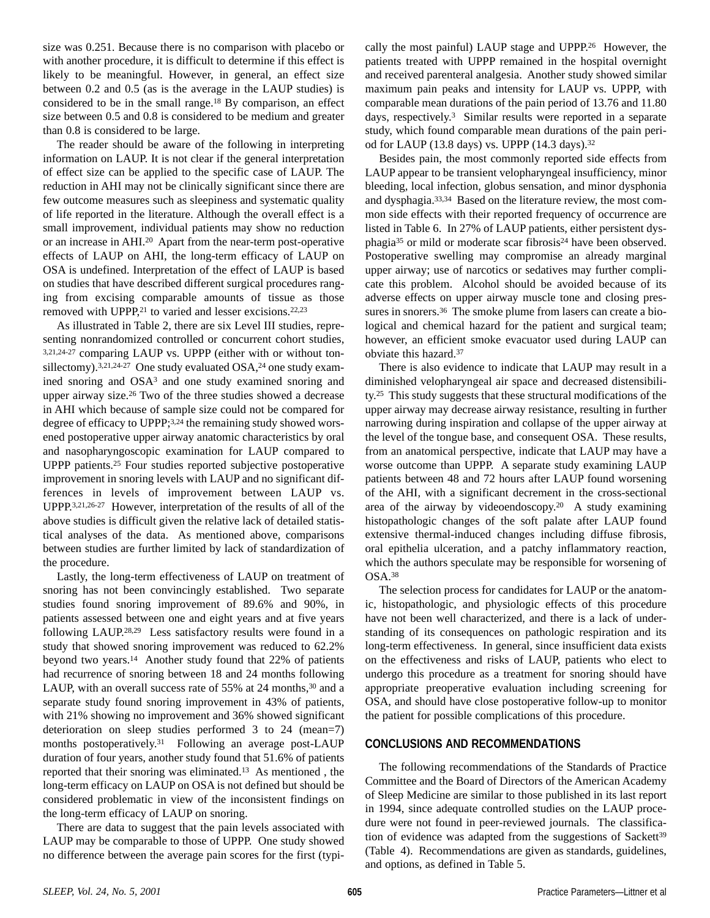size was 0.251. Because there is no comparison with placebo or with another procedure, it is difficult to determine if this effect is likely to be meaningful. However, in general, an effect size between 0.2 and 0.5 (as is the average in the LAUP studies) is considered to be in the small range.18 By comparison, an effect size between 0.5 and 0.8 is considered to be medium and greater than 0.8 is considered to be large.

The reader should be aware of the following in interpreting information on LAUP. It is not clear if the general interpretation of effect size can be applied to the specific case of LAUP. The reduction in AHI may not be clinically significant since there are few outcome measures such as sleepiness and systematic quality of life reported in the literature. Although the overall effect is a small improvement, individual patients may show no reduction or an increase in AHI.20 Apart from the near-term post-operative effects of LAUP on AHI, the long-term efficacy of LAUP on OSA is undefined. Interpretation of the effect of LAUP is based on studies that have described different surgical procedures ranging from excising comparable amounts of tissue as those removed with UPPP,<sup>21</sup> to varied and lesser excisions.<sup>22,23</sup>

As illustrated in Table 2, there are six Level III studies, representing nonrandomized controlled or concurrent cohort studies, 3,21,24-27 comparing LAUP vs. UPPP (either with or without tonsillectomy).<sup>3,21,24-27</sup> One study evaluated OSA,<sup>24</sup> one study examined snoring and OSA3 and one study examined snoring and upper airway size.26 Two of the three studies showed a decrease in AHI which because of sample size could not be compared for degree of efficacy to UPPP;3,24 the remaining study showed worsened postoperative upper airway anatomic characteristics by oral and nasopharyngoscopic examination for LAUP compared to UPPP patients.25 Four studies reported subjective postoperative improvement in snoring levels with LAUP and no significant differences in levels of improvement between LAUP vs. UPPP.3,21,26-27 However, interpretation of the results of all of the above studies is difficult given the relative lack of detailed statistical analyses of the data. As mentioned above, comparisons between studies are further limited by lack of standardization of the procedure.

Lastly, the long-term effectiveness of LAUP on treatment of snoring has not been convincingly established. Two separate studies found snoring improvement of 89.6% and 90%, in patients assessed between one and eight years and at five years following LAUP.28,29 Less satisfactory results were found in a study that showed snoring improvement was reduced to 62.2% beyond two years.14 Another study found that 22% of patients had recurrence of snoring between 18 and 24 months following LAUP, with an overall success rate of 55% at 24 months,<sup>30</sup> and a separate study found snoring improvement in 43% of patients, with 21% showing no improvement and 36% showed significant deterioration on sleep studies performed 3 to 24 (mean=7) months postoperatively.<sup>31</sup> Following an average post-LAUP duration of four years, another study found that 51.6% of patients reported that their snoring was eliminated.13 As mentioned , the long-term efficacy on LAUP on OSA is not defined but should be considered problematic in view of the inconsistent findings on the long-term efficacy of LAUP on snoring.

There are data to suggest that the pain levels associated with LAUP may be comparable to those of UPPP. One study showed no difference between the average pain scores for the first (typically the most painful) LAUP stage and UPPP.26 However, the patients treated with UPPP remained in the hospital overnight and received parenteral analgesia. Another study showed similar maximum pain peaks and intensity for LAUP vs. UPPP, with comparable mean durations of the pain period of 13.76 and 11.80 days, respectively.3 Similar results were reported in a separate study, which found comparable mean durations of the pain period for LAUP (13.8 days) vs. UPPP (14.3 days).32

Besides pain, the most commonly reported side effects from LAUP appear to be transient velopharyngeal insufficiency, minor bleeding, local infection, globus sensation, and minor dysphonia and dysphagia.33,34 Based on the literature review, the most common side effects with their reported frequency of occurrence are listed in Table 6. In 27% of LAUP patients, either persistent dysphagia<sup>35</sup> or mild or moderate scar fibrosis<sup>24</sup> have been observed. Postoperative swelling may compromise an already marginal upper airway; use of narcotics or sedatives may further complicate this problem. Alcohol should be avoided because of its adverse effects on upper airway muscle tone and closing pressures in snorers.<sup>36</sup> The smoke plume from lasers can create a biological and chemical hazard for the patient and surgical team; however, an efficient smoke evacuator used during LAUP can obviate this hazard.37

There is also evidence to indicate that LAUP may result in a diminished velopharyngeal air space and decreased distensibility.25 This study suggests that these structural modifications of the upper airway may decrease airway resistance, resulting in further narrowing during inspiration and collapse of the upper airway at the level of the tongue base, and consequent OSA. These results, from an anatomical perspective, indicate that LAUP may have a worse outcome than UPPP. A separate study examining LAUP patients between 48 and 72 hours after LAUP found worsening of the AHI, with a significant decrement in the cross-sectional area of the airway by videoendoscopy.20 A study examining histopathologic changes of the soft palate after LAUP found extensive thermal-induced changes including diffuse fibrosis, oral epithelia ulceration, and a patchy inflammatory reaction, which the authors speculate may be responsible for worsening of OSA.38

The selection process for candidates for LAUP or the anatomic, histopathologic, and physiologic effects of this procedure have not been well characterized, and there is a lack of understanding of its consequences on pathologic respiration and its long-term effectiveness. In general, since insufficient data exists on the effectiveness and risks of LAUP, patients who elect to undergo this procedure as a treatment for snoring should have appropriate preoperative evaluation including screening for OSA, and should have close postoperative follow-up to monitor the patient for possible complications of this procedure.

#### **CONCLUSIONS AND RECOMMENDATIONS**

The following recommendations of the Standards of Practice Committee and the Board of Directors of the American Academy of Sleep Medicine are similar to those published in its last report in 1994, since adequate controlled studies on the LAUP procedure were not found in peer-reviewed journals. The classification of evidence was adapted from the suggestions of Sackett<sup>39</sup> (Table 4). Recommendations are given as standards, guidelines, and options, as defined in Table 5.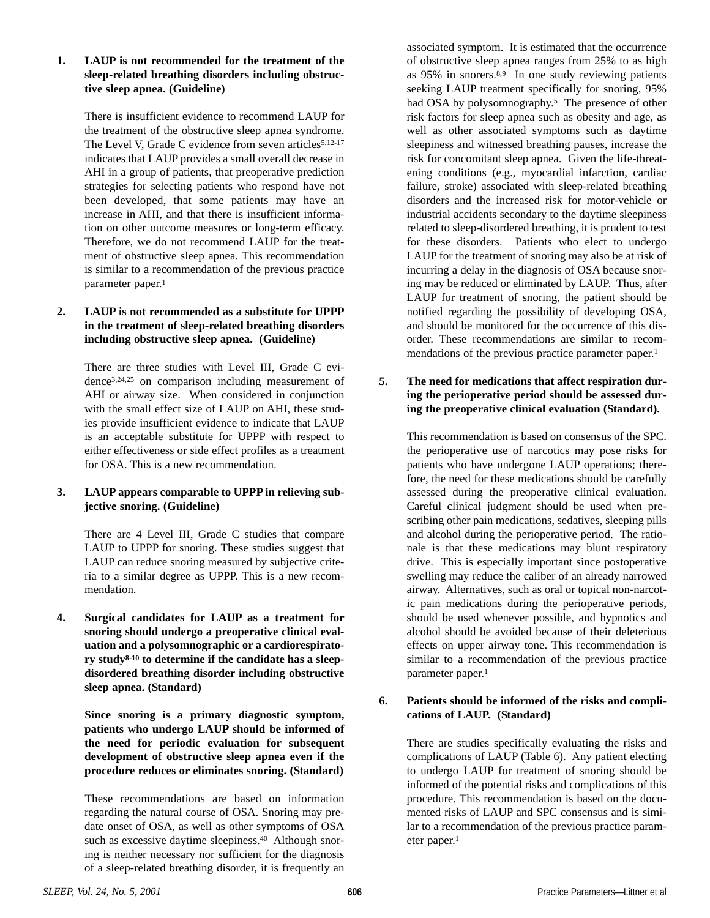#### **1. LAUP is not recommended for the treatment of the sleep-related breathing disorders including obstructive sleep apnea. (Guideline)**

There is insufficient evidence to recommend LAUP for the treatment of the obstructive sleep apnea syndrome. The Level V, Grade C evidence from seven articles<sup>5,12-17</sup> indicates that LAUP provides a small overall decrease in AHI in a group of patients, that preoperative prediction strategies for selecting patients who respond have not been developed, that some patients may have an increase in AHI, and that there is insufficient information on other outcome measures or long-term efficacy. Therefore, we do not recommend LAUP for the treatment of obstructive sleep apnea. This recommendation is similar to a recommendation of the previous practice parameter paper.<sup>1</sup>

# **2. LAUP is not recommended as a substitute for UPPP in the treatment of sleep-related breathing disorders including obstructive sleep apnea. (Guideline)**

There are three studies with Level III, Grade C evidence3,24,25 on comparison including measurement of AHI or airway size. When considered in conjunction with the small effect size of LAUP on AHI, these studies provide insufficient evidence to indicate that LAUP is an acceptable substitute for UPPP with respect to either effectiveness or side effect profiles as a treatment for OSA. This is a new recommendation.

# **3. LAUP appears comparable to UPPP in relieving subjective snoring. (Guideline)**

There are 4 Level III, Grade C studies that compare LAUP to UPPP for snoring. These studies suggest that LAUP can reduce snoring measured by subjective criteria to a similar degree as UPPP. This is a new recommendation.

**4. Surgical candidates for LAUP as a treatment for snoring should undergo a preoperative clinical evaluation and a polysomnographic or a cardiorespiratory study8-10 to determine if the candidate has a sleepdisordered breathing disorder including obstructive sleep apnea. (Standard)**

**Since snoring is a primary diagnostic symptom, patients who undergo LAUP should be informed of the need for periodic evaluation for subsequent development of obstructive sleep apnea even if the procedure reduces or eliminates snoring. (Standard)**

These recommendations are based on information regarding the natural course of OSA. Snoring may predate onset of OSA, as well as other symptoms of OSA such as excessive daytime sleepiness.<sup>40</sup> Although snoring is neither necessary nor sufficient for the diagnosis of a sleep-related breathing disorder, it is frequently an

associated symptom. It is estimated that the occurrence of obstructive sleep apnea ranges from 25% to as high as 95% in snorers.8,9 In one study reviewing patients seeking LAUP treatment specifically for snoring, 95% had OSA by polysomnography.<sup>5</sup> The presence of other risk factors for sleep apnea such as obesity and age, as well as other associated symptoms such as daytime sleepiness and witnessed breathing pauses, increase the risk for concomitant sleep apnea. Given the life-threatening conditions (e.g., myocardial infarction, cardiac failure, stroke) associated with sleep-related breathing disorders and the increased risk for motor-vehicle or industrial accidents secondary to the daytime sleepiness related to sleep-disordered breathing, it is prudent to test for these disorders. Patients who elect to undergo LAUP for the treatment of snoring may also be at risk of incurring a delay in the diagnosis of OSA because snoring may be reduced or eliminated by LAUP. Thus, after LAUP for treatment of snoring, the patient should be notified regarding the possibility of developing OSA, and should be monitored for the occurrence of this disorder. These recommendations are similar to recommendations of the previous practice parameter paper.<sup>1</sup>

# **5. The need for medications that affect respiration during the perioperative period should be assessed during the preoperative clinical evaluation (Standard).**

This recommendation is based on consensus of the SPC. the perioperative use of narcotics may pose risks for patients who have undergone LAUP operations; therefore, the need for these medications should be carefully assessed during the preoperative clinical evaluation. Careful clinical judgment should be used when prescribing other pain medications, sedatives, sleeping pills and alcohol during the perioperative period. The rationale is that these medications may blunt respiratory drive. This is especially important since postoperative swelling may reduce the caliber of an already narrowed airway. Alternatives, such as oral or topical non-narcotic pain medications during the perioperative periods, should be used whenever possible, and hypnotics and alcohol should be avoided because of their deleterious effects on upper airway tone. This recommendation is similar to a recommendation of the previous practice parameter paper.<sup>1</sup>

# **6. Patients should be informed of the risks and complications of LAUP. (Standard)**

There are studies specifically evaluating the risks and complications of LAUP (Table 6). Any patient electing to undergo LAUP for treatment of snoring should be informed of the potential risks and complications of this procedure. This recommendation is based on the documented risks of LAUP and SPC consensus and is similar to a recommendation of the previous practice parameter paper.<sup>1</sup>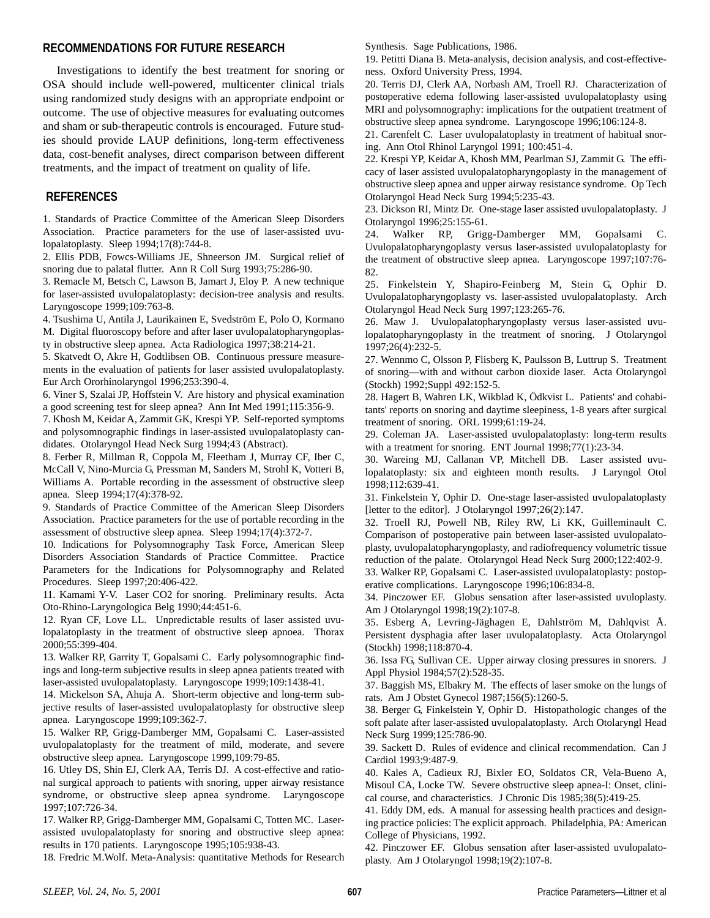#### **RECOMMENDATIONS FOR FUTURE RESEARCH**

Investigations to identify the best treatment for snoring or OSA should include well-powered, multicenter clinical trials using randomized study designs with an appropriate endpoint or outcome. The use of objective measures for evaluating outcomes and sham or sub-therapeutic controls is encouraged. Future studies should provide LAUP definitions, long-term effectiveness data, cost-benefit analyses, direct comparison between different treatments, and the impact of treatment on quality of life.

#### **REFERENCES**

1. Standards of Practice Committee of the American Sleep Disorders Association. Practice parameters for the use of laser-assisted uvulopalatoplasty. Sleep 1994;17(8):744-8.

2. Ellis PDB, Fowcs-Williams JE, Shneerson JM. Surgical relief of snoring due to palatal flutter. Ann R Coll Surg 1993;75:286-90.

3. Remacle M, Betsch C, Lawson B, Jamart J, Eloy P. A new technique for laser-assisted uvulopalatoplasty: decision-tree analysis and results. Laryngoscope 1999;109:763-8.

4. Tsushima U, Antila J, Laurikainen E, Svedström E, Polo O, Kormano M. Digital fluoroscopy before and after laser uvulopalatopharyngoplasty in obstructive sleep apnea. Acta Radiologica 1997;38:214-21.

5. Skatvedt O, Akre H, Godtlibsen OB. Continuous pressure measurements in the evaluation of patients for laser assisted uvulopalatoplasty. Eur Arch Ororhinolaryngol 1996;253:390-4.

6. Viner S, Szalai JP, Hoffstein V. Are history and physical examination a good screening test for sleep apnea? Ann Int Med 1991;115:356-9.

7. Khosh M, Keidar A, Zammit GK, Krespi YP. Self-reported symptoms and polysomnographic findings in laser-assisted uvulopalatoplasty candidates. Otolaryngol Head Neck Surg 1994;43 (Abstract).

8. Ferber R, Millman R, Coppola M, Fleetham J, Murray CF, Iber C, McCall V, Nino-Murcia G, Pressman M, Sanders M, Strohl K, Votteri B, Williams A. Portable recording in the assessment of obstructive sleep apnea. Sleep 1994;17(4):378-92.

9. Standards of Practice Committee of the American Sleep Disorders Association. Practice parameters for the use of portable recording in the assessment of obstructive sleep apnea. Sleep 1994;17(4):372-7.

10. Indications for Polysomnography Task Force, American Sleep Disorders Association Standards of Practice Committee. Practice Parameters for the Indications for Polysomnography and Related Procedures. Sleep 1997;20:406-422.

11. Kamami Y-V. Laser CO2 for snoring. Preliminary results. Acta Oto-Rhino-Laryngologica Belg 1990;44:451-6.

12. Ryan CF, Love LL. Unpredictable results of laser assisted uvulopalatoplasty in the treatment of obstructive sleep apnoea. Thorax 2000;55:399-404.

13. Walker RP, Garrity T, Gopalsami C. Early polysomnographic findings and long-term subjective results in sleep apnea patients treated with laser-assisted uvulopalatoplasty. Laryngoscope 1999;109:1438-41.

14. Mickelson SA, Ahuja A. Short-term objective and long-term subjective results of laser-assisted uvulopalatoplasty for obstructive sleep apnea. Laryngoscope 1999;109:362-7.

15. Walker RP, Grigg-Damberger MM, Gopalsami C. Laser-assisted uvulopalatoplasty for the treatment of mild, moderate, and severe obstructive sleep apnea. Laryngoscope 1999,109:79-85.

16. Utley DS, Shin EJ, Clerk AA, Terris DJ. A cost-effective and rational surgical approach to patients with snoring, upper airway resistance syndrome, or obstructive sleep apnea syndrome. Laryngoscope 1997;107:726-34.

17. Walker RP, Grigg-Damberger MM, Gopalsami C, Totten MC. Laserassisted uvulopalatoplasty for snoring and obstructive sleep apnea: results in 170 patients. Laryngoscope 1995;105:938-43.

18. Fredric M.Wolf. Meta-Analysis: quantitative Methods for Research

Synthesis. Sage Publications, 1986.

19. Petitti Diana B. Meta-analysis, decision analysis, and cost-effectiveness. Oxford University Press, 1994.

20. Terris DJ, Clerk AA, Norbash AM, Troell RJ. Characterization of postoperative edema following laser-assisted uvulopalatoplasty using MRI and polysomnography: implications for the outpatient treatment of obstructive sleep apnea syndrome. Laryngoscope 1996;106:124-8.

21. Carenfelt C. Laser uvulopalatoplasty in treatment of habitual snoring. Ann Otol Rhinol Laryngol 1991; 100:451-4.

22. Krespi YP, Keidar A, Khosh MM, Pearlman SJ, Zammit G. The efficacy of laser assisted uvulopalatopharyngoplasty in the management of obstructive sleep apnea and upper airway resistance syndrome. Op Tech Otolaryngol Head Neck Surg 1994;5:235-43.

23. Dickson RI, Mintz Dr. One-stage laser assisted uvulopalatoplasty. J Otolaryngol 1996;25:155-61.

24. Walker RP, Grigg-Damberger MM, Gopalsami C. Uvulopalatopharyngoplasty versus laser-assisted uvulopalatoplasty for the treatment of obstructive sleep apnea. Laryngoscope 1997;107:76- 82.

25. Finkelstein Y, Shapiro-Feinberg M, Stein G, Ophir D. Uvulopalatopharyngoplasty vs. laser-assisted uvulopalatoplasty. Arch Otolaryngol Head Neck Surg 1997;123:265-76.

26. Maw J. Uvulopalatopharyngoplasty versus laser-assisted uvulopalatopharyngoplasty in the treatment of snoring. J Otolaryngol 1997;26(4):232-5.

27. Wennmo C, Olsson P, Flisberg K, Paulsson B, Luttrup S. Treatment of snoring—with and without carbon dioxide laser. Acta Otolaryngol (Stockh) 1992;Suppl 492:152-5.

28. Hagert B, Wahren LK, Wikblad K, Ödkvist L. Patients' and cohabitants' reports on snoring and daytime sleepiness, 1-8 years after surgical treatment of snoring. ORL 1999;61:19-24.

29. Coleman JA. Laser-assisted uvulopalatoplasty: long-term results with a treatment for snoring. ENT Journal 1998;77(1):23-34.

30. Wareing MJ, Callanan VP, Mitchell DB. Laser assisted uvulopalatoplasty: six and eighteen month results. J Laryngol Otol 1998;112:639-41.

31. Finkelstein Y, Ophir D. One-stage laser-assisted uvulopalatoplasty [letter to the editor]. J Otolaryngol 1997;26(2):147.

32. Troell RJ, Powell NB, Riley RW, Li KK, Guilleminault C. Comparison of postoperative pain between laser-assisted uvulopalatoplasty, uvulopalatopharyngoplasty, and radiofrequency volumetric tissue reduction of the palate. Otolaryngol Head Neck Surg 2000;122:402-9.

33. Walker RP, Gopalsami C. Laser-assisted uvulopalatoplasty: postoperative complications. Laryngoscope 1996;106:834-8.

34. Pinczower EF. Globus sensation after laser-assisted uvuloplasty. Am J Otolaryngol 1998;19(2):107-8.

35. Esberg A, Levring-Jäghagen E, Dahlström M, Dahlqvist Å. Persistent dysphagia after laser uvulopalatoplasty. Acta Otolaryngol (Stockh) 1998;118:870-4.

36. Issa FG, Sullivan CE. Upper airway closing pressures in snorers. J Appl Physiol 1984;57(2):528-35.

37. Baggish MS, Elbakry M. The effects of laser smoke on the lungs of rats. Am J Obstet Gynecol 1987;156(5):1260-5.

38. Berger G, Finkelstein Y, Ophir D. Histopathologic changes of the soft palate after laser-assisted uvulopalatoplasty. Arch Otolaryngl Head Neck Surg 1999;125:786-90.

39. Sackett D. Rules of evidence and clinical recommendation. Can J Cardiol 1993;9:487-9.

40. Kales A, Cadieux RJ, Bixler EO, Soldatos CR, Vela-Bueno A, Misoul CA, Locke TW. Severe obstructive sleep apnea-I: Onset, clinical course, and characteristics. J Chronic Dis 1985;38(5):419-25.

41. Eddy DM, eds. A manual for assessing health practices and designing practice policies: The explicit approach. Philadelphia, PA: American College of Physicians, 1992.

42. Pinczower EF. Globus sensation after laser-assisted uvulopalatoplasty. Am J Otolaryngol 1998;19(2):107-8.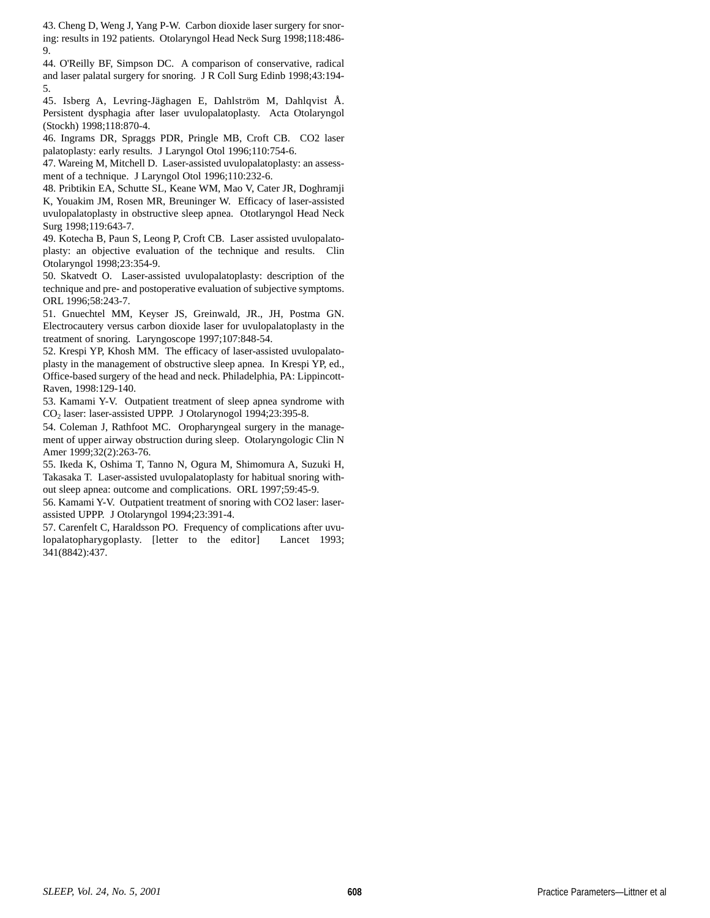43. Cheng D, Weng J, Yang P-W. Carbon dioxide laser surgery for snoring: results in 192 patients. Otolaryngol Head Neck Surg 1998;118:486- 9.

44. O'Reilly BF, Simpson DC. A comparison of conservative, radical and laser palatal surgery for snoring. J R Coll Surg Edinb 1998;43:194- 5.

45. Isberg A, Levring-Jäghagen E, Dahlström M, Dahlqvist Å. Persistent dysphagia after laser uvulopalatoplasty. Acta Otolaryngol (Stockh) 1998;118:870-4.

46. Ingrams DR, Spraggs PDR, Pringle MB, Croft CB. CO2 laser palatoplasty: early results. J Laryngol Otol 1996;110:754-6.

47. Wareing M, Mitchell D. Laser-assisted uvulopalatoplasty: an assessment of a technique. J Laryngol Otol 1996;110:232-6.

48. Pribtikin EA, Schutte SL, Keane WM, Mao V, Cater JR, Doghramji K, Youakim JM, Rosen MR, Breuninger W. Efficacy of laser-assisted uvulopalatoplasty in obstructive sleep apnea. Ototlaryngol Head Neck Surg 1998;119:643-7.

49. Kotecha B, Paun S, Leong P, Croft CB. Laser assisted uvulopalatoplasty: an objective evaluation of the technique and results. Clin Otolaryngol 1998;23:354-9.

50. Skatvedt O. Laser-assisted uvulopalatoplasty: description of the technique and pre- and postoperative evaluation of subjective symptoms. ORL 1996;58:243-7.

51. Gnuechtel MM, Keyser JS, Greinwald, JR., JH, Postma GN. Electrocautery versus carbon dioxide laser for uvulopalatoplasty in the treatment of snoring. Laryngoscope 1997;107:848-54.

52. Krespi YP, Khosh MM. The efficacy of laser-assisted uvulopalatoplasty in the management of obstructive sleep apnea. In Krespi YP, ed., Office-based surgery of the head and neck. Philadelphia, PA: Lippincott-Raven, 1998:129-140.

53. Kamami Y-V. Outpatient treatment of sleep apnea syndrome with CO2 laser: laser-assisted UPPP. J Otolarynogol 1994;23:395-8.

54. Coleman J, Rathfoot MC. Oropharyngeal surgery in the management of upper airway obstruction during sleep. Otolaryngologic Clin N Amer 1999;32(2):263-76.

55. Ikeda K, Oshima T, Tanno N, Ogura M, Shimomura A, Suzuki H, Takasaka T. Laser-assisted uvulopalatoplasty for habitual snoring without sleep apnea: outcome and complications. ORL 1997;59:45-9.

56. Kamami Y-V. Outpatient treatment of snoring with CO2 laser: laserassisted UPPP. J Otolaryngol 1994;23:391-4.

57. Carenfelt C, Haraldsson PO. Frequency of complications after uvulopalatopharygoplasty. [letter to the editor] Lancet 1993; 341(8842):437.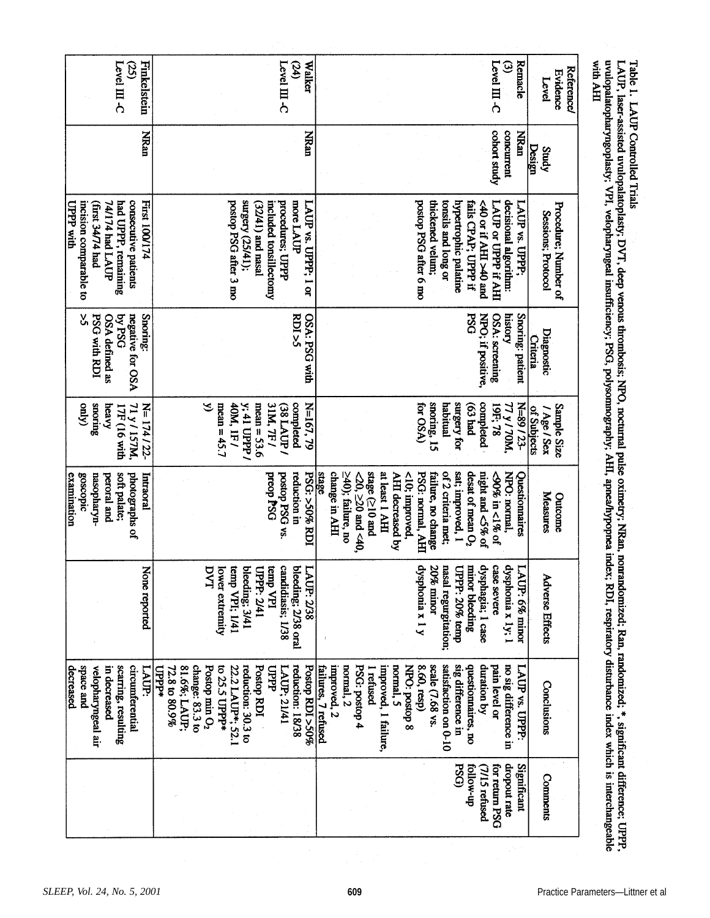| Finkelstein<br>Level $III$ -C<br>යි                                                                                                             | Level $\rm III$ -C<br><b>Walker</b><br>$\mathcal{Q}$                                                                                                                                                                              | Level $\rm{III}$ -C<br>$\circledcirc$<br>Remacle                                                                                                                                                                                                                                                                                                                 | with AHI<br><b>Reference/</b><br><b>Evidence</b><br>Level                                                                                                                                                                                                                                                                                                                                              |
|-------------------------------------------------------------------------------------------------------------------------------------------------|-----------------------------------------------------------------------------------------------------------------------------------------------------------------------------------------------------------------------------------|------------------------------------------------------------------------------------------------------------------------------------------------------------------------------------------------------------------------------------------------------------------------------------------------------------------------------------------------------------------|--------------------------------------------------------------------------------------------------------------------------------------------------------------------------------------------------------------------------------------------------------------------------------------------------------------------------------------------------------------------------------------------------------|
| <b>NRan</b>                                                                                                                                     | <b>MRan</b>                                                                                                                                                                                                                       | cohort study<br>concurrent<br><b>NRAn</b>                                                                                                                                                                                                                                                                                                                        | <b>Design</b><br>Study                                                                                                                                                                                                                                                                                                                                                                                 |
| <b>First 100/174</b><br>incision comparable to<br>T4/174 had LAUP<br>had UPPP, remaining<br>consecutive patients<br>UPPP with<br>first 3474 had | surgery (25/41);<br>more LAUP<br>postop PSG after 3 mo<br>included tonsillectomy<br>procedures; UPP<br>LAUP vs. UPPP; 1 or<br>$(32/41)$ and nasal                                                                                 | postop PSG after 6 mo<br>thickened velum;<br>tonsils and long or<br>hypertrophic palatine<br>LAUP or UPPP if AHI<br>decisional algorithm:<br>fails CPAP; UPPP if<br>LAUP vs. UPPP;<br>c40 or if AHI >40 and                                                                                                                                                      | uvulopalatopharyngoplasty; VPI, velopharyngeal insufficiency; PSG, polysomnography; AHI, apnea/hypopnea index; RDI, respiratory disturbance index which is interchangeable<br>LAUP, laser-assisted uvulopalatoplasty; DVT, deep venous thrombosis; NPO, nocturnal pulse oximetry; NRan, nonrandomized; Ran, randomized; *, significant difference; UPPP,<br>Procedure; Number of<br>Sessions; Protocol |
| š,<br>Snoring:<br>DSd Aq<br>negative for OSA<br><b>PSG with RDI</b><br>OSA defined as                                                           | SO(25)<br>OSA: PSG with                                                                                                                                                                                                           | <b>PSG</b><br>NPO; if positive<br>OSA: screening<br>Snoring: patient<br>history                                                                                                                                                                                                                                                                                  | Diagnostic<br><b>Criteria</b>                                                                                                                                                                                                                                                                                                                                                                          |
| (Apro<br>snoring<br>71 y / 157M,<br>N=174/22-<br>heavy<br>17F (16 with                                                                          | S<br>mean = $45.7$<br>40M, IF/<br>y; 41 UPPP /<br>mean = $53.6$<br>31M, 7F/<br>completed<br>N=167, 79<br>$38L$ AUP                                                                                                                | snoring, 15<br>habitual<br>surgery for<br>completed<br>N=89/23-<br>for OSA)<br>$p$ ey $(63)$<br><b>T7 y / 70M,</b><br>19F; 78                                                                                                                                                                                                                                    | Sample Size<br>/ Age / Sex<br>of Subjects                                                                                                                                                                                                                                                                                                                                                              |
| examination<br>goscopic<br>soft palate;<br>photographs of<br>nasopharyn-<br>Intraoral<br>peroral and                                            | reduction in<br><b>PSG: &gt;50% RDI</b><br>preop PSG<br>postop PSG vs.                                                                                                                                                            | change in AHI<br>stage (≥10 and<br>of 2 criteria met;<br>sat; improved, 1<br>desat of mean O <sub>2</sub><br>night and <5% of<br>NPO: normal,<br>stage<br>$\geq$ 40); failure, no<br>at least 1 AHI<br>PSG: normal, AHI<br>$-20$ , $\geq$ 20 and $\leq 40$ ,<br>AHI decreased by<br>$< 10$ ; improved,<br><90% in <1% of<br>Questionnaires<br>failure, no change | Measures<br>Outcome                                                                                                                                                                                                                                                                                                                                                                                    |
| None reported                                                                                                                                   | candidiasis; 1/38<br>DVT<br>temp VPI; 1/41<br>temp VPI<br>LAUP: 2/38<br>lower extremity<br>bleeding; 3/41<br>UPPP: 2/41<br>bleeding; 2/38 oral                                                                                    | dysphagia; I case<br>case severe<br>dysphonia x 1y; 1<br>dysphonia x 1 y<br>nasal regurgitation;<br>20% minor<br>minor bleeding<br>LAUP: 6% minor<br>UPPP: 20% temp                                                                                                                                                                                              | <b>Adverse Effects</b>                                                                                                                                                                                                                                                                                                                                                                                 |
| space and<br>decreased<br>scarring, resulting<br>circumferential<br>uppp*<br>in decreased<br>velopharyngeal air<br>LAUP:                        | change: 83.3 to<br>reduction: 30.3 to<br>Postop RDI<br>reduction: 18/38<br>Postop RDI >50%<br>81.6%; LAUP;<br>Postop min O <sub>2</sub><br>to 25.5 UPPP*<br>22.2 LAUP*; 52.1<br>$72.8 \text{ to } 80.9\%$<br>प्रथा<br>LAUP; 21/41 | satisfaction on 0-10<br>sig difference in<br>questionnaires, no<br>no sig difference in<br>failures, 7 refused<br>improved, 2<br>normal, 2<br>PSG: postop 4<br>improved, 1 failure,<br>normal, 5<br>8.60, resp)<br>scale (7.68 vs.<br>duration by<br>pain level or<br>LAUP vs. UPPP:<br>NPO: postop 8<br>I retused                                               | Conclusions                                                                                                                                                                                                                                                                                                                                                                                            |
|                                                                                                                                                 |                                                                                                                                                                                                                                   | dropout rate<br>Significant<br><b>PSG</b><br>tollow-up<br>tor return PSG<br>(7/15 refused                                                                                                                                                                                                                                                                        | <b>Comments</b>                                                                                                                                                                                                                                                                                                                                                                                        |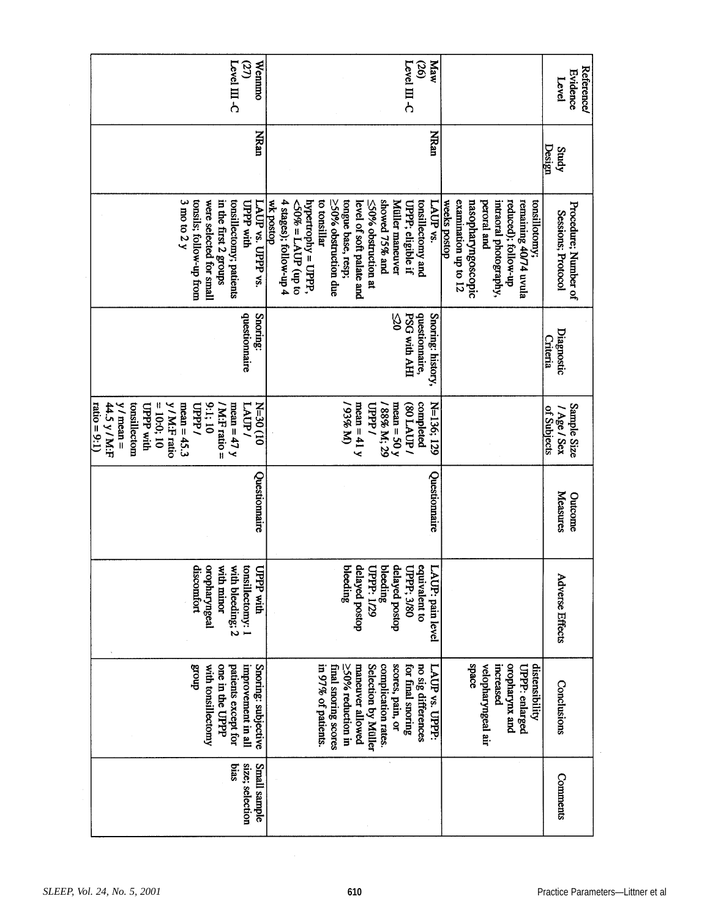| Wennmo<br>$\mathsf{Level}\,\Pi$ -C<br>$\mathcal{D}$                                                                                                                                                 | Maw<br>Level $III$ -C<br>$\mathfrak{D}$                                                                                                                                                                                                                                                                                                                                                                                                                                     | <b>Reference/</b><br><b>Evidence</b><br>Level |
|-----------------------------------------------------------------------------------------------------------------------------------------------------------------------------------------------------|-----------------------------------------------------------------------------------------------------------------------------------------------------------------------------------------------------------------------------------------------------------------------------------------------------------------------------------------------------------------------------------------------------------------------------------------------------------------------------|-----------------------------------------------|
| <b>NRan</b>                                                                                                                                                                                         | NRan                                                                                                                                                                                                                                                                                                                                                                                                                                                                        | Design<br>Study                               |
| $3 \text{ mo}$ to $2 \text{ y}$<br>tonsils; follow-up from<br>were selected for small<br>in the first 2 groups<br>tonsillectomy; patients<br>UPPP with<br>LAUP vs. UPPP vs.                         | dopsod xm<br>≥50% obstruction due<br>tongue base, resp;<br>showed 75% and<br>reduced); follow-up<br>4 stages); follow-up 4<br>hypertrophy = UPPP,<br>to tonsillar<br>tonsillectomy and<br>weeks postop<br>examination up to 12<br>nasopharyngoscopic<br>intraoral photography,<br>remaining 40/74 uvula<br>Müller maneuver<br>peroral and<br>tonsillotomy;<br>on du) $d\Omega V = \%05$<br>level of soft palate and<br>≤50% obstruction at<br>UPPP; eligible if<br>LAUP vs. | Procedure; Number of<br>Sessions; Protocol    |
| questionnaire<br>Snoring:                                                                                                                                                                           | <b>PSG with AHI</b><br>questiomaire,<br>Snoring: history,<br>8                                                                                                                                                                                                                                                                                                                                                                                                              | Diagnostic<br><b>Criteria</b>                 |
| y / M:F ratio<br>tonsillectom<br>9:1:10<br>44.5 y/ M:F<br>$y/mean =$<br>$= 10.0$ ; 10<br>mean = $45.3$<br>/ M:F ratio =<br>mean = $47 y$<br>LAUP.<br>01) OS-N<br>ratio = 9:1)<br>UPPP with<br>UPPP/ | (W%E6/<br>mean $= 41 y$<br>completed<br>N=136, 129<br><b>Gddfl</b><br>/ 88% M; 29<br>mean = 50 $y$<br>(80 LAUP)                                                                                                                                                                                                                                                                                                                                                             | Sample Size<br>of Subjects<br>/ Age / Sex     |
| Questionnaire                                                                                                                                                                                       | Questionnaire                                                                                                                                                                                                                                                                                                                                                                                                                                                               | Measures<br>Outcome                           |
| oropharyngeal<br>with bleeding; 2<br>discomfort<br>with minor<br>tonsillectomy: 1<br>UPPP with                                                                                                      | bleeding<br>delayed postop<br>equivalent to<br>delayed postop<br>bleeding<br>UPPP; 3/80<br>UPPP: 1/29<br>Ľ<br>AUP: pain level                                                                                                                                                                                                                                                                                                                                               | <b>Adverse Effects</b>                        |
| Snoring: subjective<br>dnoug<br>one in the UPPP<br>with tonsillectomy<br>patients except for<br>improvement in all                                                                                  | space<br>oropharynx and<br>distensibility<br>maneuver allowed<br>complication rates.<br>scores, pain, or<br>velopharyngeal air<br>in 97% of patients.<br>Selection by Müller<br>for final snoring<br>increased<br>final snoring scores<br>$\geq$ 50% reduction in<br>no sig differences<br>LAUP vs. UPPP:<br>UPPP: enlarged                                                                                                                                                 | Conclusions                                   |
| size; selection<br>Small sample<br>bias                                                                                                                                                             |                                                                                                                                                                                                                                                                                                                                                                                                                                                                             | <b>Comments</b>                               |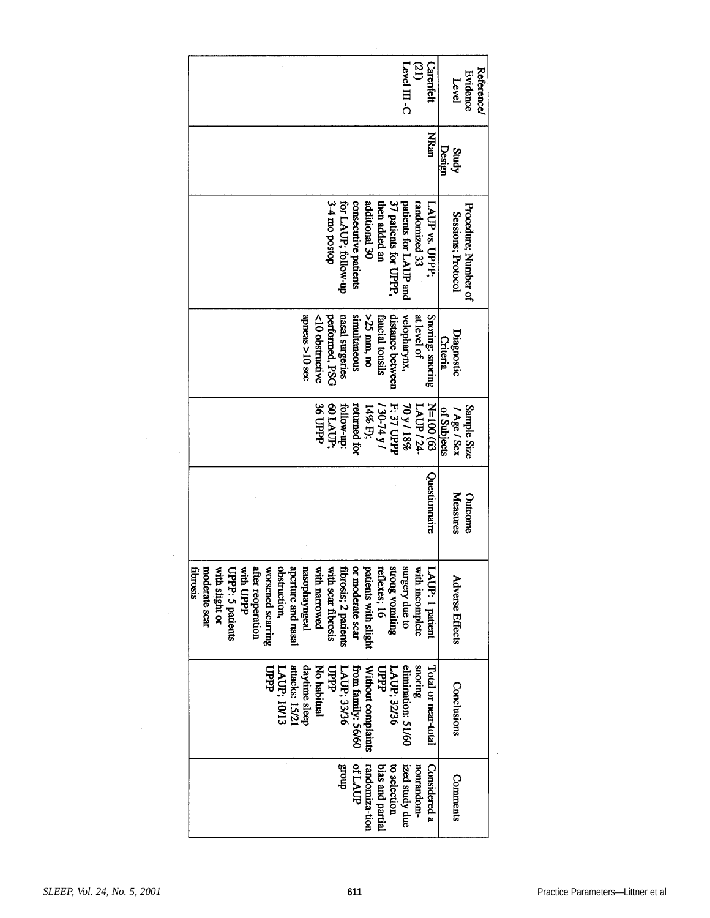|                                                                                                   |                                                                          |                                                             |                                                                                    | Level III -C<br>ØI)<br>Carenfelt                         | Reference/<br>Evidence<br>Level            |
|---------------------------------------------------------------------------------------------------|--------------------------------------------------------------------------|-------------------------------------------------------------|------------------------------------------------------------------------------------|----------------------------------------------------------|--------------------------------------------|
|                                                                                                   |                                                                          |                                                             |                                                                                    | MRan                                                     | Design<br>Study                            |
|                                                                                                   |                                                                          | dosod om $+ \epsilon$<br>for LAUP; follow-up                | additional 30<br>consecutive patients<br>37 patients for UPPP,<br>then added an    | patients for LAUP and<br>randomized 33<br>LAUP vs. UPPP; | Procedure; Number of<br>Sessions; Protocol |
|                                                                                                   | apneas >10 sec                                                           | nasal surgeries<br>performed, PSG<br><10 obstructive        | simultaneous<br>>25 mm, no<br>distance between<br>faucial tonsils                  | Snoring: snoring<br>at level of<br>velopharynx,          | Diagnostic<br><b>Criteria</b>              |
|                                                                                                   |                                                                          | 36 UPPP<br>60 LAUP;<br>tollow-up:                           | returned for<br>F: 37 UPPP<br>14% F);<br>/790-74 y/                                | $K=100(63)$<br>70 y / 18%<br>LAUP/24-                    | Sample Size<br>of Subjects<br>/ Age / Sex  |
|                                                                                                   |                                                                          |                                                             |                                                                                    | Questionnaire                                            | Measures<br>Outcome                        |
| moderate scar<br>after reoperation<br>fibrosis<br>with slight or<br>with UPPP<br>UPPP: 5 patients | aperture and nasal<br>obstruction,<br>worsened scarring<br>nasophayngeal | with narrowed<br>with scar fibrosis<br>fibrosis; 2 patients | Ñ,<br>₫<br>reflexes; 16<br>atients with slight<br>hong vomiting<br>r moderate scar | surgery due to<br>with incomplete<br>AUP: 1 patient      | <b>Adverse Effects</b>                     |
|                                                                                                   | attacks: 15/21<br>daytime sleep<br>पुर्यु<br>LAUP; 10/12                 | No habitual<br>dddl<br>LAUP; 33/36                          | from family: 56/60<br>Without complaints<br>යු<br>පි<br>LAUP; 32/36                | snoring<br>elimination: 51/60<br>Total or near-total     | Conclusions                                |
|                                                                                                   |                                                                          | dnous                                                       | ofLAUP<br>randomiza-tion<br>bias and partial<br>to selection                       | ized study due<br>Considered a<br>nonrandom-             | <b>Comments</b>                            |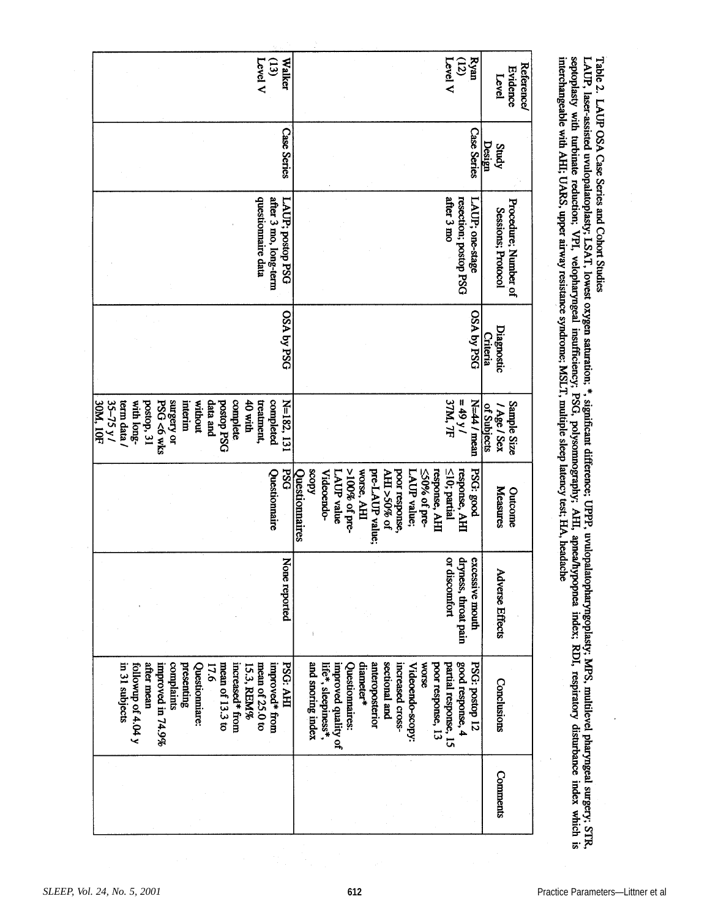| <b>Level V</b>                                                                                                                                                                                                          | <b>Walker</b><br>$\mathbf{E}$             |                                                                                                                                                                                                                 | $Rym$<br>(12)<br>Level V                                   | <b>Reference/</b><br>Evidence<br>Level     |
|-------------------------------------------------------------------------------------------------------------------------------------------------------------------------------------------------------------------------|-------------------------------------------|-----------------------------------------------------------------------------------------------------------------------------------------------------------------------------------------------------------------|------------------------------------------------------------|--------------------------------------------|
|                                                                                                                                                                                                                         | <b>Case Series</b>                        |                                                                                                                                                                                                                 | <b>Case Series</b>                                         | Design<br>Study                            |
| questionnaire data                                                                                                                                                                                                      | after 3 mo, long-term<br>LAUP; postop PSG |                                                                                                                                                                                                                 | after 3 mo<br>resection; postop PSG<br>LAUP; one-stage     | Procedure; Number of<br>Sessions; Protocol |
|                                                                                                                                                                                                                         | <b>OSA Aq VSO</b>                         |                                                                                                                                                                                                                 | OSA py PSO                                                 | Diagnostic<br><b>Criteria</b>              |
| surgery or<br>without<br>data and<br>complete<br>40 with<br>35-75 y/<br>with long-<br>postop, 31<br><b>PSG &lt;6 wks</b><br><b>SON: 10F</b><br>term data /<br>interim<br><b>DSRd</b> dorsod<br>treatment,               | completed<br>N=182, 131                   |                                                                                                                                                                                                                 | N=44 / mean<br>$= 49 y/$<br>37M, 7F                        | Sample Size<br>of Subjects<br>/ Age / Sex  |
|                                                                                                                                                                                                                         | <b>PSG</b><br>Questionnaire               | $>100\%$ of pre-<br>response, AHI<br>kdoos<br>worse, AHI<br>pre-LAUP value;<br>poor response,<br>≤50% of pre-<br><b>Videoendo-</b><br>AHI >50% of<br>LAUP value<br>LAUP value;<br>Questionnaires                | $\leq$ 10; partial<br>response, AHI<br>PSG: good           | <b>Measures</b><br>Outcome                 |
|                                                                                                                                                                                                                         | z<br>one reported                         |                                                                                                                                                                                                                 | dryness, throat pain<br>or discomfort<br>excessive mouth   | <b>Adverse Effects</b>                     |
| after mean<br>complaints<br>presenting<br>in 31 subjects<br>followip of 4.04 y<br>mean of 13.3 to<br>increased <sup>*</sup> from<br>improved in 74.9%<br>mean of 25.0 to<br>Questionniare:<br><b>L7.6</b><br>15.3, REM% | PSG: AHI<br>improved* from                | sectional and<br>and snoring index<br>diameter*<br>anteroposterior<br>increased cross-<br><b>WORSE</b><br>poor response, 13<br>improved quality of<br>Questionnaires:<br>life*, sleepiness*<br>Videoendo-scopy: | good response, 4<br>PSG: postop 12<br>partial response, 15 | Conclusions                                |
|                                                                                                                                                                                                                         |                                           |                                                                                                                                                                                                                 |                                                            | <b>Comments</b>                            |

LAUP, laser-assisted uvulopalatoplasty; LSAT, lowest oxygen saturation; \*, significant difference; UPPP, uvulopalatopharyngoplasty; MPS, multilevel pharyngeal surgery; STR,<br>septoplasty with turbinate reduction; VPI, veloph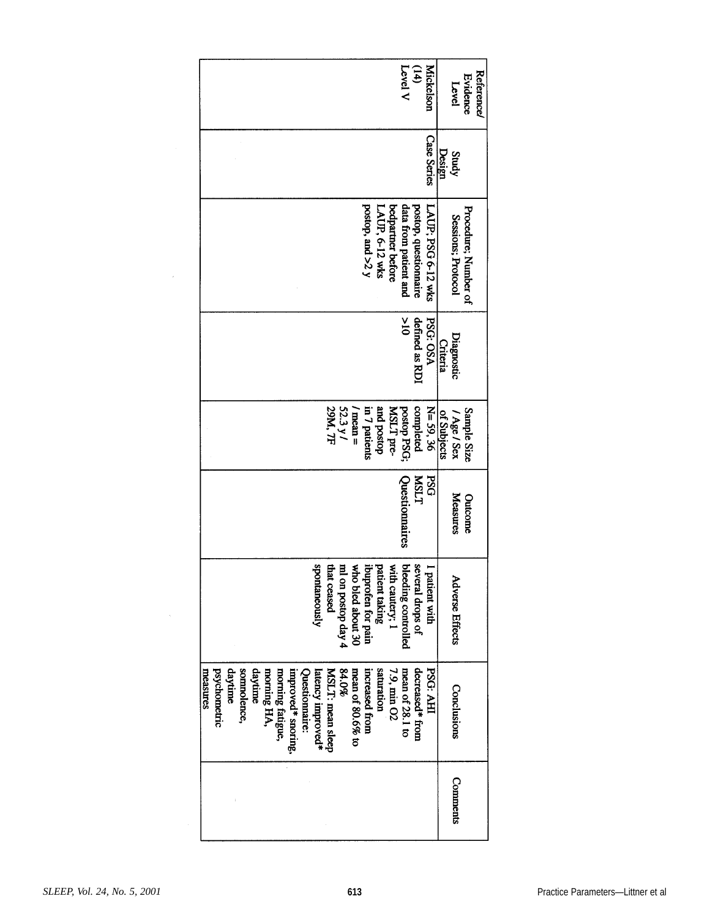| Level V<br><b>Mickelson</b><br>(14)                                                                                                                                                                                                                                                                                    | Reference/<br>Evidence<br>Level            |
|------------------------------------------------------------------------------------------------------------------------------------------------------------------------------------------------------------------------------------------------------------------------------------------------------------------------|--------------------------------------------|
| <b>Case Series</b>                                                                                                                                                                                                                                                                                                     | Design<br>Study                            |
| postop, and >2 y<br>data from patient and<br>postop, questionnaire<br>LAUP; PSG 6-12 wks<br>bedpartner before<br>LAUP, 6-12 wks                                                                                                                                                                                        | Procedure; Number of<br>Sessions; Protocol |
| $\frac{6}{10}$<br>defined as RDI<br><b>PSG: OSA</b>                                                                                                                                                                                                                                                                    | Diagnostic<br><b>Criteria</b>              |
| 52.3 y /<br>29M, TF<br>N=59,36<br>dosod pue<br>postop PSG;<br>completed<br>in 7 patients<br>MSLT pre-<br>mean =                                                                                                                                                                                                        | Sample Size<br>of Subjects<br>/ Age / Sex  |
| <b>PSG</b><br>LTSIN<br>Questionnaires                                                                                                                                                                                                                                                                                  | Measures<br>Outcome                        |
| bleeding controlled<br>several drops of<br><b>spontaneously</b><br>₫.<br>who bled about 30<br>patient taking<br>ibuprofen for pain<br>tha.<br>ml on postop day 4<br>I patient with<br>th cautery; 1<br>t ceased                                                                                                        | <b>Adverse Effects</b>                     |
| daytime<br>somnolence,<br>daytime<br>saturation<br>84.0%<br>increased from<br>7.9, min O2<br>psychometric<br>morning fatigue,<br>MSLT: mean sleep<br>mean of 80.6% to<br>mean of 28.1 to<br>decreased* from<br><b>PSG: AHI</b><br>measures<br>morning HA,<br>Questionnaire:<br>improved* snoring,<br>latency improved* | <b>Conclusions</b>                         |
|                                                                                                                                                                                                                                                                                                                        | <b>Comments</b>                            |

 $\sim$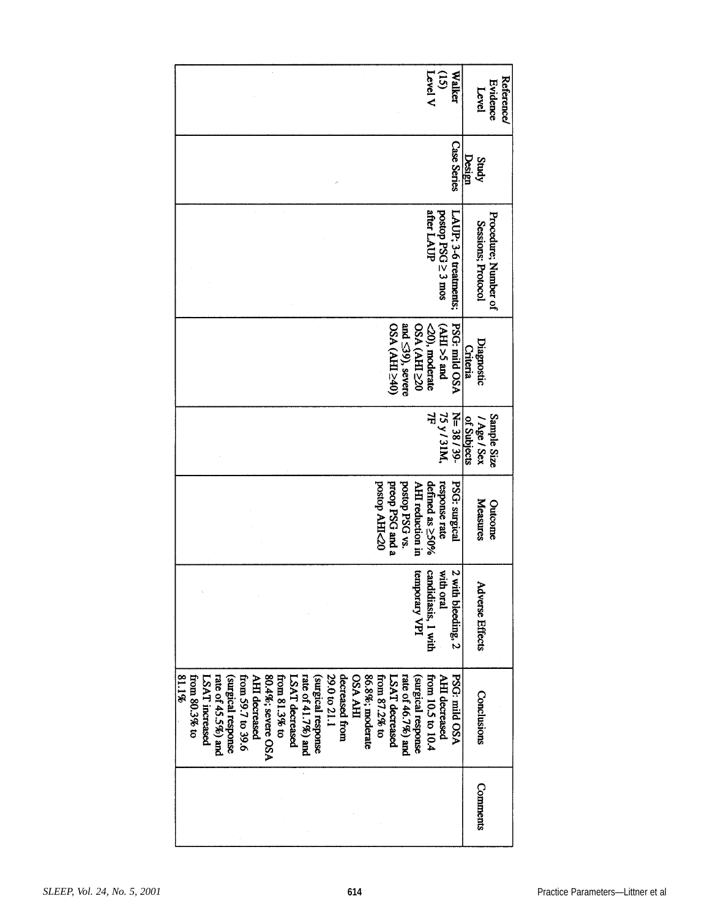| Level V<br>$\overline{S}$<br>Walker                                                                                                                                                                                                                                                                                                                                                                                                                       | <b>Reference/</b><br>Evidence<br>Level     |
|-----------------------------------------------------------------------------------------------------------------------------------------------------------------------------------------------------------------------------------------------------------------------------------------------------------------------------------------------------------------------------------------------------------------------------------------------------------|--------------------------------------------|
| <b>Case Series</b>                                                                                                                                                                                                                                                                                                                                                                                                                                        | Design<br>Study                            |
| after LAUP<br>postop PSG ≥ 3 mos<br>LAUP: 3-6 treatments;                                                                                                                                                                                                                                                                                                                                                                                                 | Procedure; Number of<br>Sessions; Protocol |
| 02A (AHL>40)<br>and $\leq$ 39), severe<br>PSG: mild OSA<br>02<br>CEHY) VSO<br>pue 5< HP)<br><20), moderate                                                                                                                                                                                                                                                                                                                                                | Diagnostic<br>Criteria                     |
| $\frac{75 \text{ y}}{7F}$<br>$N = 38 / 39$                                                                                                                                                                                                                                                                                                                                                                                                                | Sample Size<br>of Subjects<br>/ Age / Sex  |
| postop PSG vs.<br>02HHV dopod<br>AHI reduction in<br><b>PSG</b> : surgical<br>preop PSG and a<br>response rate<br>defined as ≥50%                                                                                                                                                                                                                                                                                                                         | Measures<br>Outcome                        |
| 2 with bleeding, 2<br>with oral<br>candidiasis, I with<br>temporary VPI                                                                                                                                                                                                                                                                                                                                                                                   | <b>Adverse Effects</b>                     |
| 86.8%; moderate<br>PSG: mild OSA<br>81.1%<br>80.4%; severe OSA<br>29.0 to 21.1<br>from $80.3\%$ to<br>from 59.7 to 39.6<br>decreased from<br>from 87.2% to<br>AHI decreased<br>from 10.5 to 10.4<br>AHI decreased<br>from 81.3% to<br>(surgical response<br>rate of $41.7\%$ ) and<br><b>THA ABO</b><br>rate of $46.7\%)$ and<br>(surgical response<br>LSAT increased<br>rate of $45.5\%$ ) and<br>(surgical response<br>LSAT decreased<br>LSAT decreased | Conclusions                                |
|                                                                                                                                                                                                                                                                                                                                                                                                                                                           | Comments                                   |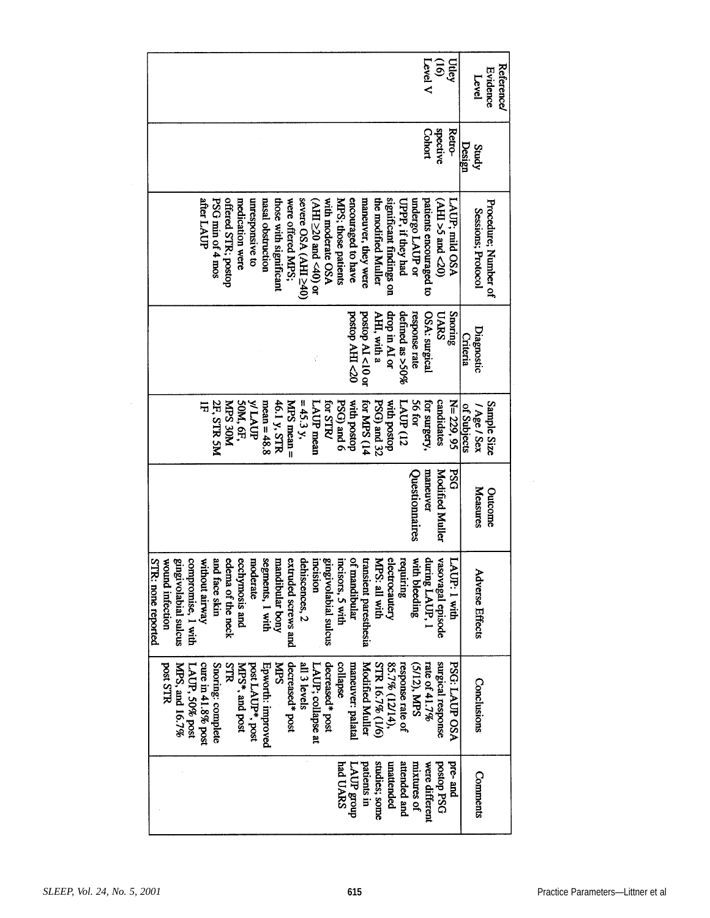| <b>Level</b> V<br>$\widehat{5}$                                                                                                                                                                                                                                                                                                                                                                                                                                                     | Utley                | <b>Reference/</b><br><b>Evidence</b><br>Level |
|-------------------------------------------------------------------------------------------------------------------------------------------------------------------------------------------------------------------------------------------------------------------------------------------------------------------------------------------------------------------------------------------------------------------------------------------------------------------------------------|----------------------|-----------------------------------------------|
| spective<br>Cohort                                                                                                                                                                                                                                                                                                                                                                                                                                                                  | <b>Retro-</b>        | Design<br>Study                               |
| significant findings on<br>after LAUP<br>PSG min of 4 mos<br>offered STR; postop<br>severe OSA (AHI≥40)<br>encouraged to have<br>maneuver, they were<br>the modified Muller<br>undergo LAUP or<br>patients encouraged to<br>nasal obstruction<br>those with significant<br>were offered MPS;<br>MPS; those patients<br>unresponsive to<br>with moderate OSA<br><b>UPPP</b> , if they had<br>medication were<br>$(07$ pur $5 < H$ K)<br>$\times$ HH $\geq$ 20 and $\lt$ 40) or       | LAUP; mild OSA       | Procedure; Number of<br>Sessions; Protocol    |
| postop AI<10 or<br>postop AHI<20<br>drop in AI or<br>defined as >50%<br>response rate<br>AHI, with a<br>OSA: surgical<br>UARS                                                                                                                                                                                                                                                                                                                                                       | Snoring              | Diagnostic<br>Criteria                        |
| PSG) and 6<br>56 for<br>candidates<br>mean = $48.8$<br>for STR/<br><b>for MPS (14</b><br>PSG) and 32<br>WLAUP<br>46.1 y, STR<br>MPS mean =<br>LAUP mean<br>with postop<br>LAUP (12<br>for surgery,<br>2F, STR 5M<br>50M, 6F,<br>$= 45.3 y,$<br>with postop<br>NOE SAN<br>屶                                                                                                                                                                                                          | N= 229, 95           | Sample Size<br>of Subjects<br>/ Age / Sex     |
| <b>Modified Muller</b><br>maneuver<br>Questionnaires                                                                                                                                                                                                                                                                                                                                                                                                                                | <b>PSG</b>           | Measures<br>Outcome                           |
| segments, I with<br>ofi<br>ănk<br>extruded screws and<br>dehiscences, 2<br>incisors, 5 with<br>electrocautery<br>with bleeding<br>during LAUP, 1<br>vasovagal episode<br><b>STR: none reported</b><br>compromise, 1 with<br>edema of the neck<br>ecchymosis and<br>mandibular bony<br>incision<br>transient paresthesia<br>requiring<br>wound infection<br>gingivolabial sulcus<br>without airway<br>moderate<br>gingivolabial sulcus<br>MPS: all with<br>mandibular<br>1 face skin | LAUP: 1 with         | <b>Adverse Effects</b>                        |
| decreased* post<br>maneuver: palatal<br>STR 16.7% (1/6)<br>surgical response<br>cure in 41.8% post<br>Snoring: complete<br>Epworth: improved<br><b>NTPS</b><br>decreased* post<br>all 3 levels<br>85.7% (12/14),<br>response rate of<br>rate of $41.7\%$<br>post STR<br>MPS, and 16.7%<br>STR<br>post LAUP*, post<br>LAUP; collapse at<br>collapse<br><b>Modified Muller</b><br>MPS*, and post<br>(5/12), MPS<br>LAUP, 50% post                                                     | <b>PSG: LAUP OSA</b> | Conclusions                                   |
| studies; some<br>patients in<br>attended and<br>DSH dorsod<br>had UARS<br>unattended<br>mixtures of<br>were different<br>TAUP group                                                                                                                                                                                                                                                                                                                                                 | pre-and              | Comments                                      |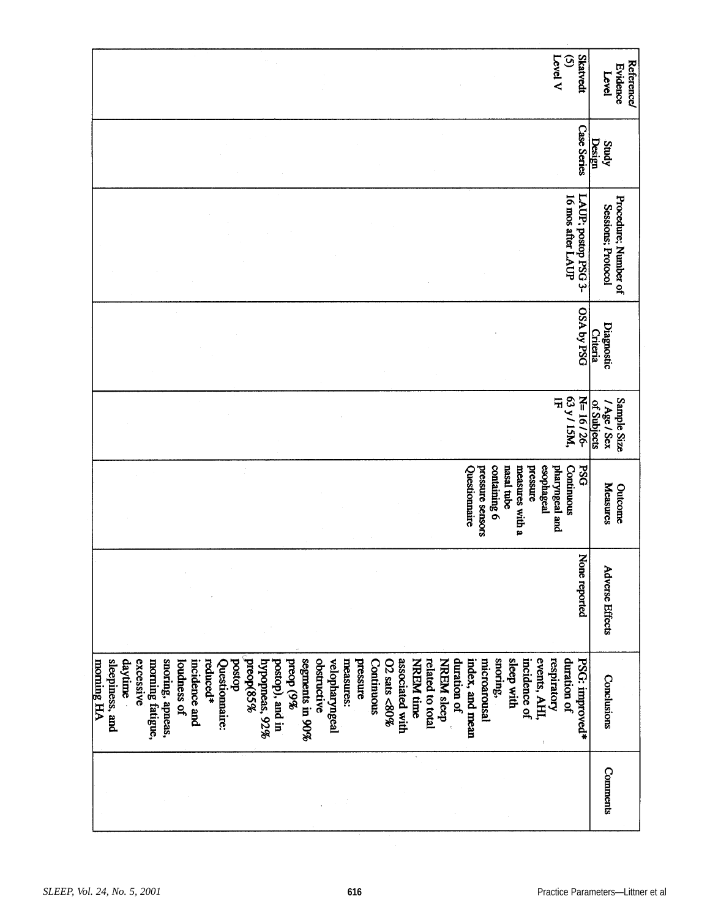| <b>Skatvedt</b><br>Level V<br>$\odot$                                                                                                                                                                                                                                                                                                                                                                                                                                                                                                                                                              | <b>Evidence</b><br>Level                   | <b>Reference/</b> |
|----------------------------------------------------------------------------------------------------------------------------------------------------------------------------------------------------------------------------------------------------------------------------------------------------------------------------------------------------------------------------------------------------------------------------------------------------------------------------------------------------------------------------------------------------------------------------------------------------|--------------------------------------------|-------------------|
| <b>Case Series</b>                                                                                                                                                                                                                                                                                                                                                                                                                                                                                                                                                                                 | Design<br>Study                            |                   |
| 16 mos after LAUP<br>LAUP; postop PSG 3-                                                                                                                                                                                                                                                                                                                                                                                                                                                                                                                                                           | Procedure; Number of<br>Sessions; Protocol |                   |
| OSA Aq YSO                                                                                                                                                                                                                                                                                                                                                                                                                                                                                                                                                                                         | Diagnostic<br><b>Criteria</b>              |                   |
| N=16/26-<br>$\frac{63 y}{1F}$                                                                                                                                                                                                                                                                                                                                                                                                                                                                                                                                                                      | Sample Size<br>of Subjects<br>/ Age / Sex  |                   |
| containing 6<br>nasal tube<br>esophageal<br>Questionnaire<br>pharyngeal and<br>Continuous<br><b>PSG</b><br>measures with a<br>pressure sensors<br>pressure                                                                                                                                                                                                                                                                                                                                                                                                                                         | Measures<br>Outcome                        |                   |
| None reported                                                                                                                                                                                                                                                                                                                                                                                                                                                                                                                                                                                      | <b>Adverse Effects</b>                     |                   |
| preop(85%<br>sleep with<br>events, AHI,<br>duration of<br>segments in 90%<br>snoring,<br>incidence of<br>respiratory<br>daytime<br>excessive<br>snoring, apneas,<br>obstructive<br>$02$ sats <80%<br>associated with<br>related to total<br><b>NREM</b> sleep<br>duration of<br>index, and mean<br>microarousal<br>PSG: improved*<br>sleepiness, and<br>morning fatigue,<br>$b$ reop $(9\%)$<br>velopharyngeal<br>NREM time<br>morning HA<br>postop), and in<br>pressure<br>loudness of<br>bostop<br>hypopneas, 92%<br>measures:<br>incidence and<br>reduced*<br>Continuous<br>Questionnaire:<br>ť | Conclusions                                |                   |
|                                                                                                                                                                                                                                                                                                                                                                                                                                                                                                                                                                                                    | <b>Comments</b>                            |                   |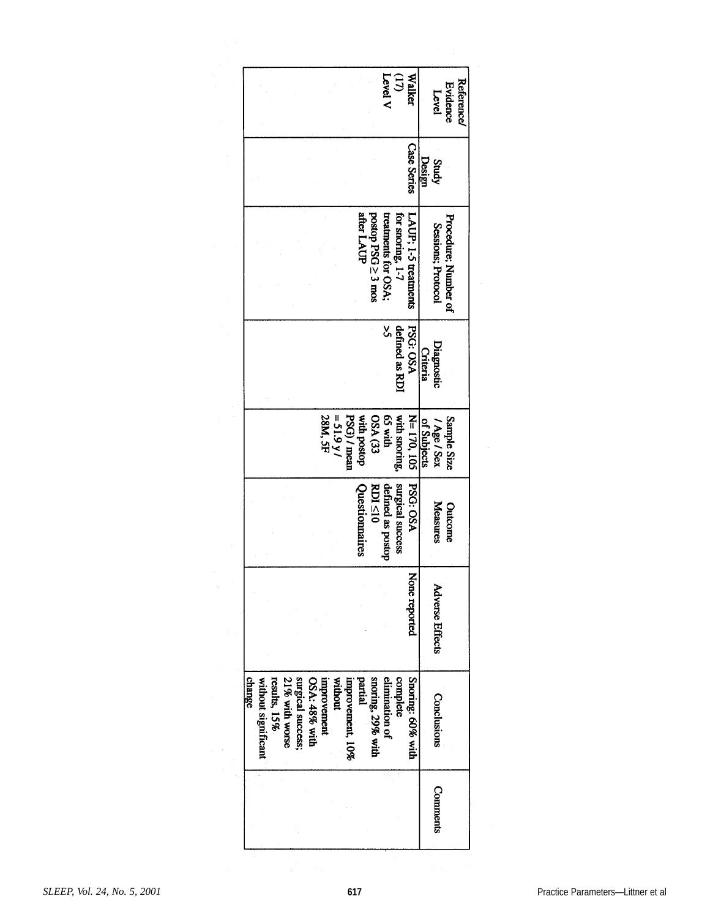|        |                     |              |                |                   |               |             |             |                  |                |                    | Level V             | $\omega$         | Walke                |             | Level                  | Evidence             | Reference |
|--------|---------------------|--------------|----------------|-------------------|---------------|-------------|-------------|------------------|----------------|--------------------|---------------------|------------------|----------------------|-------------|------------------------|----------------------|-----------|
|        |                     |              |                |                   |               |             |             |                  |                |                    |                     |                  | <b>Case Series</b>   | Design      | Study                  |                      |           |
|        |                     |              |                |                   |               |             |             |                  | after LAUP     | postop PSG ≥ 3 mos | treatments for OSA; | for snoring, 1-7 | LAUP; 1-5 treatments |             | Sessions; Protocol     | Procedure; Number of |           |
|        |                     |              |                |                   |               |             |             |                  |                |                    | š,                  | defined as RDI   | <b>PSG: OSA</b>      | Criteria    | Diagnostic             |                      |           |
|        |                     |              |                |                   |               | 28M, 5F     | $= 51.9 y/$ | PSG) / mean      | dosod uptw     | <b>OSA (33</b>     | diw S <sub>3</sub>  | with snoring,    | N= 170, 105          | of Subjects | / Age / Sex            | Sample Size          |           |
|        |                     |              |                |                   |               |             |             |                  | Questionnaires | $RDI \leq 10$      | defined as postop   | surgical success | <b>PSG: OSA</b>      |             | Measures               | Outcome              |           |
|        |                     |              |                |                   |               |             |             |                  |                |                    |                     |                  | None reported        |             | <b>Adverse Effects</b> |                      |           |
| change | without significant | results, 15% | 21% with worse | surgical success; | OSA: 48% with | unprovement | without     | improvement, 10% | partial        | snoring, 29% with  | elimination of      | complete         | Snoring: 60% with    |             | Conclusions            |                      |           |
|        |                     |              |                |                   |               |             |             |                  |                |                    |                     |                  |                      |             | Comments               |                      |           |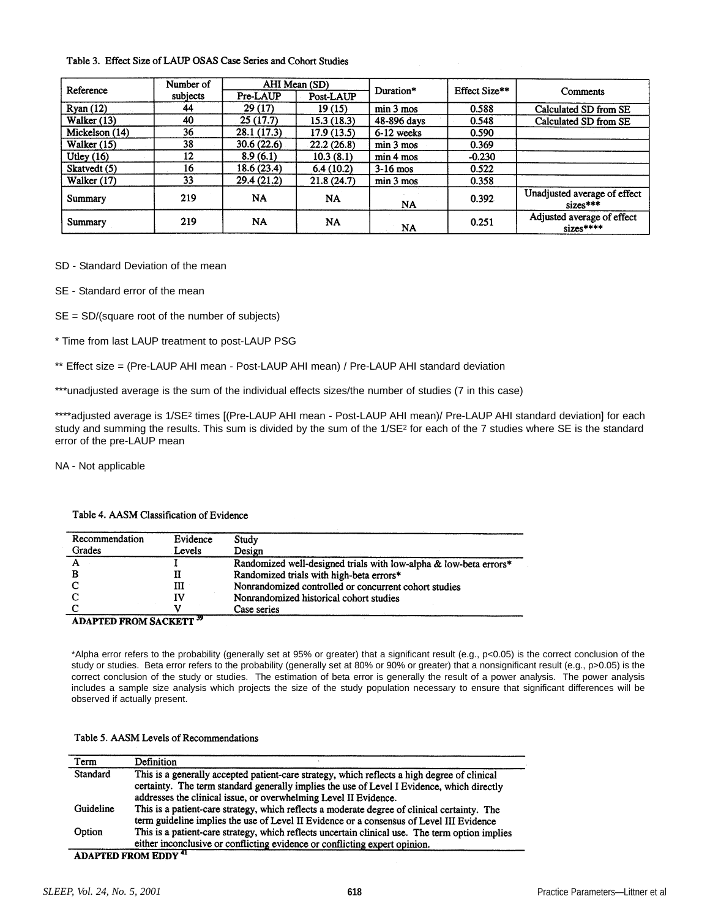#### Table 3. Effect Size of LAUP OSAS Case Series and Cohort Studies

| Reference      | Number of |                       | AHI Mean (SD) | Duration*                       | Effect Size** |                                            |  |
|----------------|-----------|-----------------------|---------------|---------------------------------|---------------|--------------------------------------------|--|
|                | subjects  | Pre-LAUP<br>Post-LAUP |               |                                 |               | Comments                                   |  |
| Ryan(12)       | 44        | 29 (17)               | 19(15)        | min <sub>3</sub> <sub>mos</sub> | 0.588         | Calculated SD from SE                      |  |
| Walker (13)    | 40        | 25(17.7)              | 15.3(18.3)    | 48-896 days                     | 0.548         | Calculated SD from SE                      |  |
| Mickelson (14) | 36        | 28.1 (17.3)           | 17.9(13.5)    | 6-12 weeks                      | 0.590         |                                            |  |
| Walker $(15)$  | 38        | 30.6(22.6)            | 22.2(26.8)    | min <sub>3</sub> mos            | 0.369         |                                            |  |
| Utley $(16)$   | 12        | 8.9(6.1)              | 10.3(8.1)     | min 4 mos                       | $-0.230$      |                                            |  |
| Skatvedt (5)   | 16        | 18.6 (23.4)           | 6.4(10.2)     | $3-16$ mos                      | 0.522         |                                            |  |
| Walker (17)    | 33        | 29.4(21.2)            | 21.8(24.7)    | min 3 mos                       | 0.358         |                                            |  |
| Summary        | 219       | NA                    | NA            | <b>NA</b>                       | 0.392         | Unadjusted average of effect<br>$sizes***$ |  |
| Summary        | 219       | <b>NA</b>             | NA            | <b>NA</b>                       | 0.251         | Adjusted average of effect<br>$sizes***$   |  |

SD - Standard Deviation of the mean

SE - Standard error of the mean

SE = SD/(square root of the number of subjects)

\* Time from last LAUP treatment to post-LAUP PSG

\*\* Effect size = (Pre-LAUP AHI mean - Post-LAUP AHI mean) / Pre-LAUP AHI standard deviation

\*\*\*unadjusted average is the sum of the individual effects sizes/the number of studies (7 in this case)

\*\*\*\*adjusted average is 1/SE<sup>2</sup> times [(Pre-LAUP AHI mean - Post-LAUP AHI mean)/ Pre-LAUP AHI standard deviation] for each study and summing the results. This sum is divided by the sum of the 1/SE<sup>2</sup> for each of the 7 studies where SE is the standard error of the pre-LAUP mean

NA - Not applicable

| Recommendation                 | Evidence | Study                                                             |
|--------------------------------|----------|-------------------------------------------------------------------|
| Grades                         | Levels   | Design                                                            |
|                                |          | Randomized well-designed trials with low-alpha & low-beta errors* |
|                                | п        | Randomized trials with high-beta errors*                          |
|                                | ш        | Nonrandomized controlled or concurrent cohort studies             |
|                                | ΙV       | Nonrandomized historical cohort studies                           |
|                                |          | Case series                                                       |
| <b>ADAPTED FROM SACKETT 39</b> |          |                                                                   |

Table 4. AASM Classification of Evidence

\*Alpha error refers to the probability (generally set at 95% or greater) that a significant result (e.g., p<0.05) is the correct conclusion of the study or studies. Beta error refers to the probability (generally set at 80% or 90% or greater) that a nonsignificant result (e.g., p>0.05) is the correct conclusion of the study or studies. The estimation of beta error is generally the result of a power analysis. The power analysis includes a sample size analysis which projects the size of the study population necessary to ensure that significant differences will be observed if actually present.

| Term      | Definition                                                                                      |
|-----------|-------------------------------------------------------------------------------------------------|
| Standard  | This is a generally accepted patient-care strategy, which reflects a high degree of clinical    |
|           | certainty. The term standard generally implies the use of Level I Evidence, which directly      |
|           | addresses the clinical issue, or overwhelming Level II Evidence.                                |
| Guideline | This is a patient-care strategy, which reflects a moderate degree of clinical certainty. The    |
|           | term guideline implies the use of Level II Evidence or a consensus of Level III Evidence        |
| Option    | This is a patient-care strategy, which reflects uncertain clinical use. The term option implies |
|           | either inconclusive or conflicting evidence or conflicting expert opinion.                      |
|           | <b>ADAPTED FROM EDDY 41</b>                                                                     |